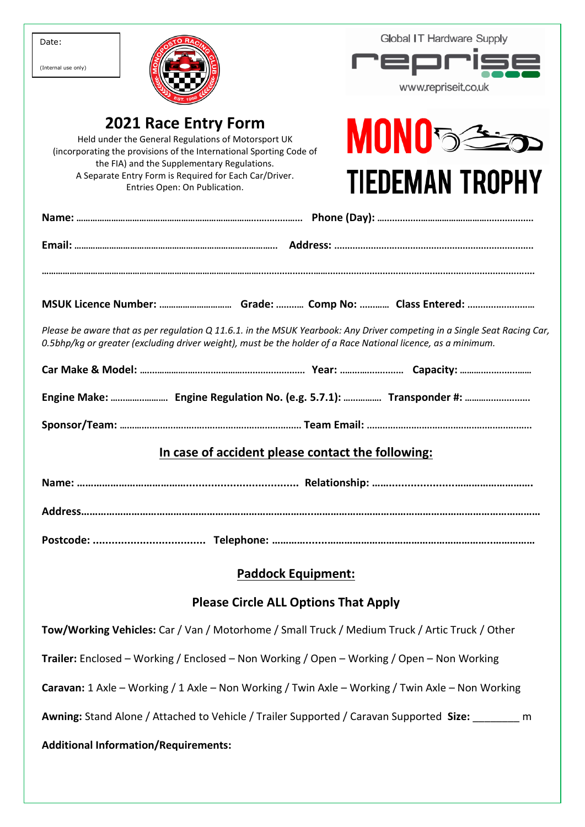| Date:<br>(Internal use only)                                                                                                                                                                                                                                                                        | <b>Global IT Hardware Supply</b><br><b>PED</b><br>www.repriseit.co.uk |  |  |  |  |  |
|-----------------------------------------------------------------------------------------------------------------------------------------------------------------------------------------------------------------------------------------------------------------------------------------------------|-----------------------------------------------------------------------|--|--|--|--|--|
| <b>2021 Race Entry Form</b><br>Held under the General Regulations of Motorsport UK<br>(incorporating the provisions of the International Sporting Code of<br>the FIA) and the Supplementary Regulations.<br>A Separate Entry Form is Required for Each Car/Driver.<br>Entries Open: On Publication. | <b>MONO back</b><br><b>TIEDEMAN TROPHY</b>                            |  |  |  |  |  |
|                                                                                                                                                                                                                                                                                                     |                                                                       |  |  |  |  |  |
|                                                                                                                                                                                                                                                                                                     |                                                                       |  |  |  |  |  |
| MSUK Licence Number:  Grade:  Comp No:  Class Entered:                                                                                                                                                                                                                                              |                                                                       |  |  |  |  |  |
| Please be aware that as per regulation Q 11.6.1. in the MSUK Yearbook: Any Driver competing in a Single Seat Racing Car,<br>0.5bhp/kg or greater (excluding driver weight), must be the holder of a Race National licence, as a minimum.                                                            |                                                                       |  |  |  |  |  |
|                                                                                                                                                                                                                                                                                                     |                                                                       |  |  |  |  |  |
|                                                                                                                                                                                                                                                                                                     |                                                                       |  |  |  |  |  |
|                                                                                                                                                                                                                                                                                                     |                                                                       |  |  |  |  |  |
| In case of accident please contact the following:                                                                                                                                                                                                                                                   |                                                                       |  |  |  |  |  |
|                                                                                                                                                                                                                                                                                                     |                                                                       |  |  |  |  |  |
|                                                                                                                                                                                                                                                                                                     |                                                                       |  |  |  |  |  |
|                                                                                                                                                                                                                                                                                                     |                                                                       |  |  |  |  |  |
| <b>Paddock Equipment:</b>                                                                                                                                                                                                                                                                           |                                                                       |  |  |  |  |  |
| <b>Please Circle ALL Options That Apply</b>                                                                                                                                                                                                                                                         |                                                                       |  |  |  |  |  |
| Tow/Working Vehicles: Car / Van / Motorhome / Small Truck / Medium Truck / Artic Truck / Other                                                                                                                                                                                                      |                                                                       |  |  |  |  |  |
| Trailer: Enclosed – Working / Enclosed – Non Working / Open – Working / Open – Non Working                                                                                                                                                                                                          |                                                                       |  |  |  |  |  |
| <b>Caravan:</b> 1 Axle – Working / 1 Axle – Non Working / Twin Axle – Working / Twin Axle – Non Working                                                                                                                                                                                             |                                                                       |  |  |  |  |  |
| Awning: Stand Alone / Attached to Vehicle / Trailer Supported / Caravan Supported Size: _______ m                                                                                                                                                                                                   |                                                                       |  |  |  |  |  |
| <b>Additional Information/Requirements:</b>                                                                                                                                                                                                                                                         |                                                                       |  |  |  |  |  |
|                                                                                                                                                                                                                                                                                                     |                                                                       |  |  |  |  |  |